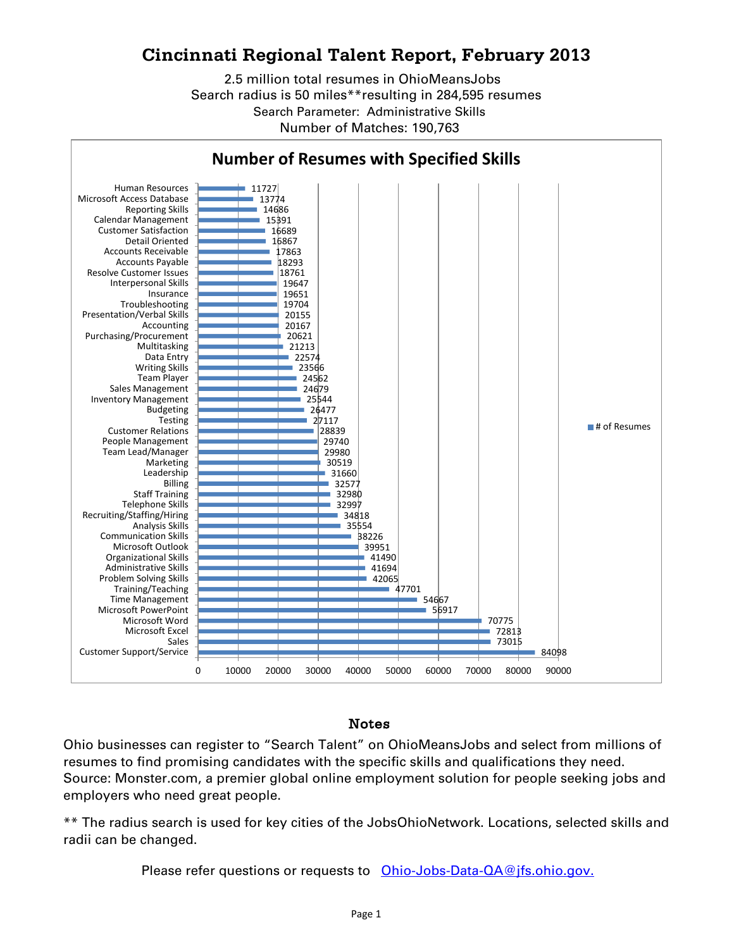## **Cincinnati Regional Talent Report, February 2013**

Search radius is 50 miles\*\*resulting in 284,595 resumes Search Parameter: Administrative Skills Number of Matches: 190,763 2.5 million total resumes in OhioMeansJobs



## Notes

Ohio businesses can register to "Search Talent" on OhioMeansJobs and select from millions of resumes to find promising candidates with the specific skills and qualifications they need. Source: Monster.com, a premier global online employment solution for people seeking jobs and employers who need great people.

\*\* The radius search is used for key cities of the JobsOhioNetwork. Locations, selected skills and radii can be changed.

Please refer questions or requests to [Ohio-Jobs-Data-QA@jfs.ohio.gov.](mailto:Ohio-Jobs-Data-QA@jfs.ohio.gov.)